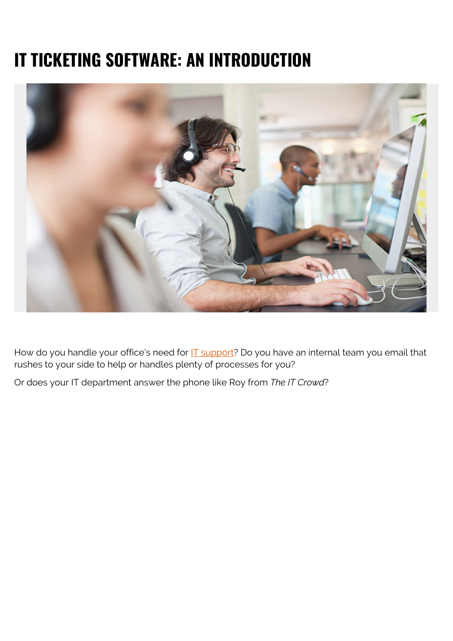# **IT TICKETING SOFTWARE: AN INTRODUCTION**



How do you handle your office's need for **IT** support? Do you have an internal team you email that rushes to your side to help or handles plenty of processes for you?

Or does your IT department answer the phone like Roy from *The IT Crowd*?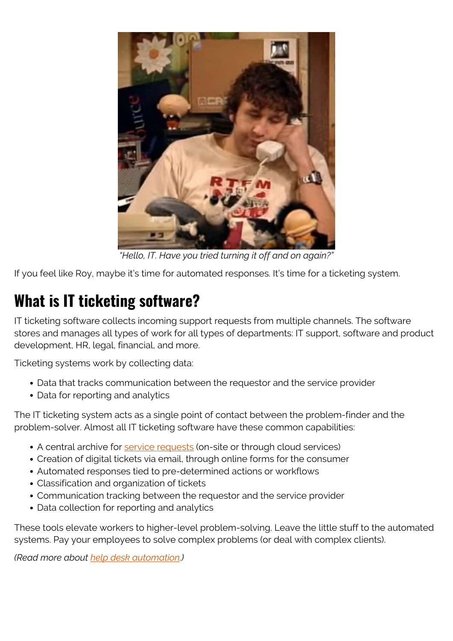

*"Hello, IT. Have you tried turning it off and on again?"*

If you feel like Roy, maybe it's time for automated responses. It's time for a ticketing system.

# **What is IT ticketing software?**

IT ticketing software collects incoming support requests from multiple channels. The software stores and manages all types of work for all types of departments: IT support, software and product development, HR, legal, financial, and more.

Ticketing systems work by collecting data:

- Data that tracks communication between the requestor and the service provider
- Data for reporting and analytics

The IT ticketing system acts as a single point of contact between the problem-finder and the problem-solver. Almost all IT ticketing software have these common capabilities:

- A central archive for [service requests](https://blogs.bmc.com/blogs/request-management/) (on-site or through cloud services)
- Creation of digital tickets via email, through online forms for the consumer
- Automated responses tied to pre-determined actions or workflows
- Classification and organization of tickets
- Communication tracking between the requestor and the service provider
- Data collection for reporting and analytics

These tools elevate workers to higher-level problem-solving. Leave the little stuff to the automated systems. Pay your employees to solve complex problems (or deal with complex clients).

*(Read more about [help desk automation](https://blogs.bmc.com/blogs/automate-help-desk-processes/).)*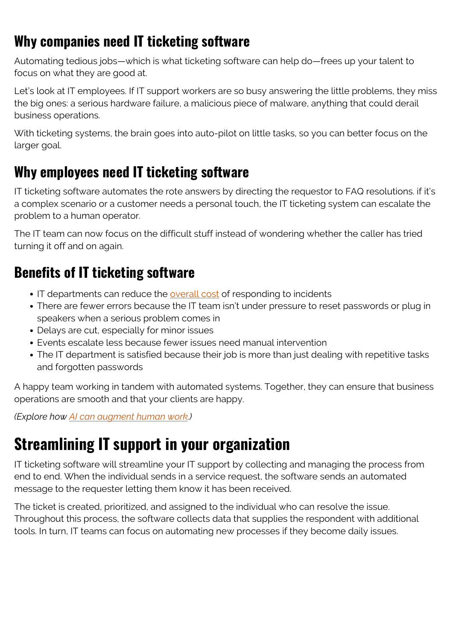#### **Why companies need IT ticketing software**

Automating tedious jobs—which is what ticketing software can help do—frees up your talent to focus on what they are good at.

Let's look at IT employees. If IT support workers are so busy answering the little problems, they miss the big ones: a serious hardware failure, a malicious piece of malware, anything that could derail business operations.

With ticketing systems, the brain goes into auto-pilot on little tasks, so you can better focus on the larger goal.

#### **Why employees need IT ticketing software**

IT ticketing software automates the rote answers by directing the requestor to FAQ resolutions. if it's a complex scenario or a customer needs a personal touch, the IT ticketing system can escalate the problem to a human operator.

The IT team can now focus on the difficult stuff instead of wondering whether the caller has tried turning it off and on again.

#### **Benefits of IT ticketing software**

- IT departments can reduce the **[overall cost](https://www.teamsupport.com/blog/ticket-automation-saves-time-money)** of responding to incidents
- There are fewer errors because the IT team isn't under pressure to reset passwords or plug in speakers when a serious problem comes in
- Delays are cut, especially for minor issues
- Events escalate less because fewer issues need manual intervention
- The IT department is satisfied because their job is more than just dealing with repetitive tasks and forgotten passwords

A happy team working in tandem with automated systems. Together, they can ensure that business operations are smooth and that your clients are happy.

*(Explore how [AI can augment human work.](https://blogs.bmc.com/blogs/ai-human-augmentation/))*

### **Streamlining IT support in your organization**

IT ticketing software will streamline your IT support by collecting and managing the process from end to end. When the individual sends in a service request, the software sends an automated message to the requester letting them know it has been received.

The ticket is created, prioritized, and assigned to the individual who can resolve the issue. Throughout this process, the software collects data that supplies the respondent with additional tools. In turn, IT teams can focus on automating new processes if they become daily issues.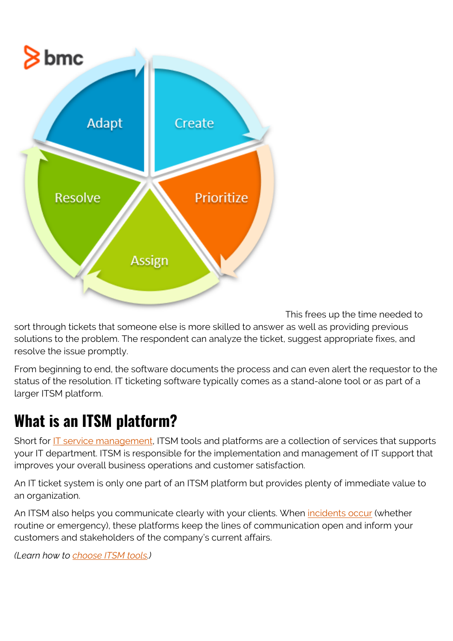

This frees up the time needed to

sort through tickets that someone else is more skilled to answer as well as providing previous solutions to the problem. The respondent can analyze the ticket, suggest appropriate fixes, and resolve the issue promptly.

From beginning to end, the software documents the process and can even alert the requestor to the status of the resolution. IT ticketing software typically comes as a stand-alone tool or as part of a larger ITSM platform.

#### **What is an ITSM platform?**

Short for **IT** service management, ITSM tools and platforms are a collection of services that supports your IT department. ITSM is responsible for the implementation and management of IT support that improves your overall business operations and customer satisfaction.

An IT ticket system is only one part of an ITSM platform but provides plenty of immediate value to an organization.

An ITSM also helps you communicate clearly with your clients. When *incidents occur* (whether routine or emergency), these platforms keep the lines of communication open and inform your customers and stakeholders of the company's current affairs.

*(Learn how to [choose ITSM tools.](https://blogs.bmc.com/blogs/itsm-tools/))*